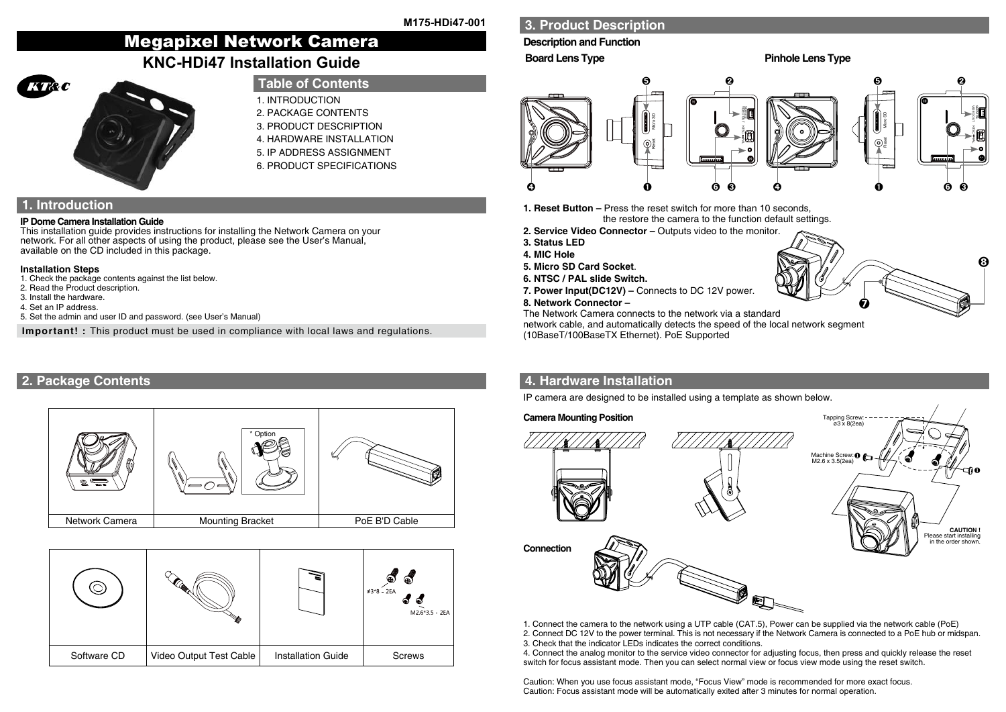# Megapixel Network Camera **KNC-HDi47 Installation Guide**



# **Table of Contents**

- 1. INTRODUCTION
- 2. PACKAGE CONTENTS
- 3. PRODUCT DESCRIPTION
- 4. HARDWARE INSTALLATION
- 5. IP ADDRESS ASSIGNMENT 6. PRODUCT SPECIFICATIONS

**1. Introduction**

### **IP Dome Camera Installation Guide**

This installation guide provides instructions for installing the Network Camera on your network. For all other aspects of using the product, please see the User's Manual, available on the CD included in this package.

### **Installation Steps**

- 1. Check the package contents against the list below.
- 2. Read the Product description.
- 3. Install the hardware. 4. Set an IP address.
- 
- 5. Set the admin and user ID and password. (see User's Manual)

**Important! :** This product must be used in compliance with local laws and regulations.

## **2. Package Contents**



|             |                         | s                         | 8<br>8<br>$\phi$ 3*8 - 2EA<br>๑<br>M2.6*3.5 - 2EA |
|-------------|-------------------------|---------------------------|---------------------------------------------------|
| Software CD | Video Output Test Cable | <b>Installation Guide</b> | <b>Screws</b>                                     |

# **3. Product Description**

### **Description and Function**

**Board Lens Type Pinhole Lens Type** 

➐

 $\boldsymbol{\Theta}$ 



**1. Reset Button –** Press the reset switch for more than 10 seconds, the restore the camera to the function default settings.

- **2. Service Video Connector** Outputs video to the monitor.
- **3. Status LED**
- **4. MIC Hole**
- **5. Micro SD Card Socket**.
- **6. NTSC / PAL slide Switch.**
- **7. Power Input(DC12V) –** Connects to DC 12V power.

### **8. Network Connector –**

The Network Camera connects to the network via a standard

network cable, and automatically detects the speed of the local network segment

(10BaseT/100BaseTX Ethernet). PoE Supported

# **4. Hardware Installation**

IP camera are designed to be installed using a template as shown below.



- 1. Connect the camera to the network using a UTP cable (CAT.5), Power can be supplied via the network cable (PoE)
- 2. Connect DC 12V to the power terminal. This is not necessary if the Network Camera is connected to a PoE hub or midspan. 3. Check that the indicator LEDs indicates the correct conditions.
- 4. Connect the analog monitor to the service video connector for adjusting focus, then press and quickly release the reset switch for focus assistant mode. Then you can select normal view or focus view mode using the reset switch.

Caution: When you use focus assistant mode, "Focus View" mode is recommended for more exact focus. Caution: Focus assistant mode will be automatically exited after 3 minutes for normal operation.